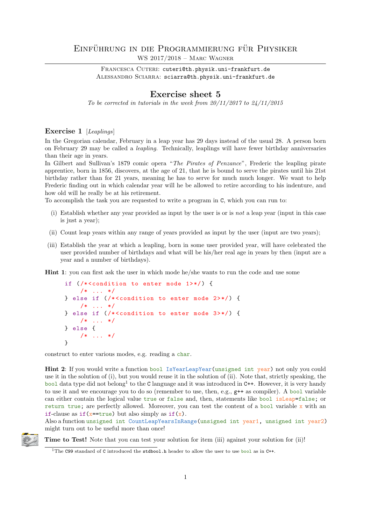# EINFÜHRUNG IN DIE PROGRAMMIERUNG FÜR PHYSIKER

WS 2017/2018 – Marc Wagner

FRANCESCA CUTERI: cuteri@th.physik.uni-frankfurt.de ALESSANDRO SCIARRA: sciarra@th.physik.uni-frankfurt.de

## Exercise sheet 5

To be corrected in tutorials in the week from  $20/11/2017$  to  $24/11/2015$ 

#### Exercise 1 [Leaplings]

In the Gregorian calendar, February in a leap year has 29 days instead of the usual 28. A person born on February 29 may be called a leapling. Technically, leaplings will have fewer birthday anniversaries than their age in years.

In Gilbert and Sullivan's 1879 comic opera "The Pirates of Penzance", Frederic the leapling pirate apprentice, born in 1856, discovers, at the age of 21, that he is bound to serve the pirates until his 21st birthday rather than for 21 years, meaning he has to serve for much much longer. We want to help Frederic finding out in which calendar year will he be allowed to retire according to his indenture, and how old will he really be at his retirement.

To accomplish the task you are requested to write a program in C, which you can run to:

- (i) Establish whether any year provided as input by the user is or is not a leap year (input in this case is just a year);
- (ii) Count leap years within any range of years provided as input by the user (input are two years);
- (iii) Establish the year at which a leapling, born in some user provided year, will have celebrated the user provided number of birthdays and what will be his/her real age in years by then (input are a year and a number of birthdays).

Hint 1: you can first ask the user in which mode he/she wants to run the code and use some

```
if \left(\frac{*}{\cdot}\right) (\left(\frac{+}{\cdot}\right) + \left(\frac{+}{\cdot}\right) + \left(\frac{+}{\cdot}\right) + \left(\frac{+}{\cdot}\right) + \left(\frac{+}{\cdot}\right) + \left(\frac{+}{\cdot}\right) + \left(\frac{+}{\cdot}\right) + \left(\frac{+}{\cdot}\right) + \left(\frac{+}{\cdot}\right) + \left(\frac{+}{\cdot}\right) + \left(\frac{+}{\cdot}\right) + \left(\frac{+}{\cdot}\right) +
             /* ... */
} else if (\frac{*}{\sqrt{*}} (\frac{1}{s}) {
             /* \ldots */} else if (\frac{*}{\cdot} condition to enter mode 3>*/) {
             /* \ldots */} else {
             /* ... */
}
```
construct to enter various modes, e.g. reading a char.

Hint 2: If you would write a function bool IsYearLeapYear(unsigned int year) not only you could use it in the solution of (i), but you would reuse it in the solution of (ii). Note that, strictly speaking, the bool data type did not belong<sup>1</sup> to the C language and it was introduced in C++. However, it is very handy to use it and we encourage you to do so (remember to use, then, e.g.,  $g$ ++ as compiler). A bool variable can either contain the logical value true or false and, then, statements like bool isLeap=false; or return true; are perfectly allowed. Moreover, you can test the content of a bool variable  $x$  with an if-clause as if  $(x=true)$  but also simply as if  $(x)$ .

Also a function unsigned int CountLeapYearsInRange(unsigned int year1, unsigned int year2) might turn out to be useful more than once!

Time to Test! Note that you can test your solution for item (iii) against your solution for (ii)!

<sup>&</sup>lt;sup>1</sup>The C99 standard of C introduced the stdbool.h header to allow the user to use bool as in C++.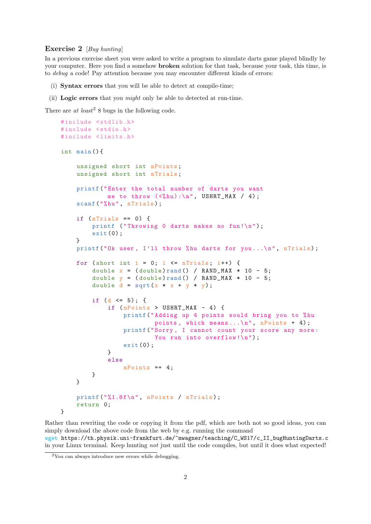### Exercise 2 [Bug hunting]

In a previous exercise sheet you were asked to write a program to simulate darts game played blindly by your computer. Here you find a somehow broken solution for that task, because your task, this time, is to debug a code! Pay attention because you may encounter different kinds of errors:

- (i) Syntax errors that you will be able to detect at compile-time;
- (ii) Logic errors that you might only be able to detected at run-time.

There are  $at$  least<sup>2</sup> 8 bugs in the following code.

```
#include <stdlib.h>
#include <stdio.h>
#include <limits.h>
int main () {
    unsigned short int nPoints ;
    unsigned short int nTrials ;
    printf ("Enter the total number of darts you want
             me to throw (\langle \lambda_n^{\prime\prime}(h) : h^n, \text{USHRT\_MAX} / 4);
    scanf ("%hu", nTrials);
    if (nTrials == 0) {
        printf ("Throwing 0 darts makes no fun!\n\ln");
        exit (0) ;
    }
    printf ("Ok user, I'll throw "hu darts for you...\n \lambdan", nTrials);
    for (short int i = 0; i \le nTrials; i++) {
        double x = (double) rand() / RAND_MAX * 10 - 5;double y = (double) rand() / RAND_MAX * 10 - 5;double d = sqrt(x * x + y * y);
        if (d \le 5); {
             if ( nPoints > USHRT_MAX - 4) {
                 printf (" Adding up 4 points would bring you to %hu
                          points , which means ...\ n", nPoints + 4) ;
                 printf ("Sorry, I cannot count your score any more:
                           You run into overflow!\n");
                  exit (0) ;
             }
             else
                 nPoints =+ 4;
        }
    }
    printf ("%1.8f\n", nPoints / nTrials);
    return 0;
```
}

Rather than rewriting the code or copying it from the pdf, which are both not so good ideas, you can simply download the above code from the web by e.g. running the command

wget https://th.physik.uni-frankfurt.de/~mwagner/teaching/C\_WS17/c\_II\_bugHuntingDarts.c in your Linux terminal. Keep hunting not just until the code compiles, but until it does what expected!

<sup>2</sup>You can always introduce new errors while debugging.